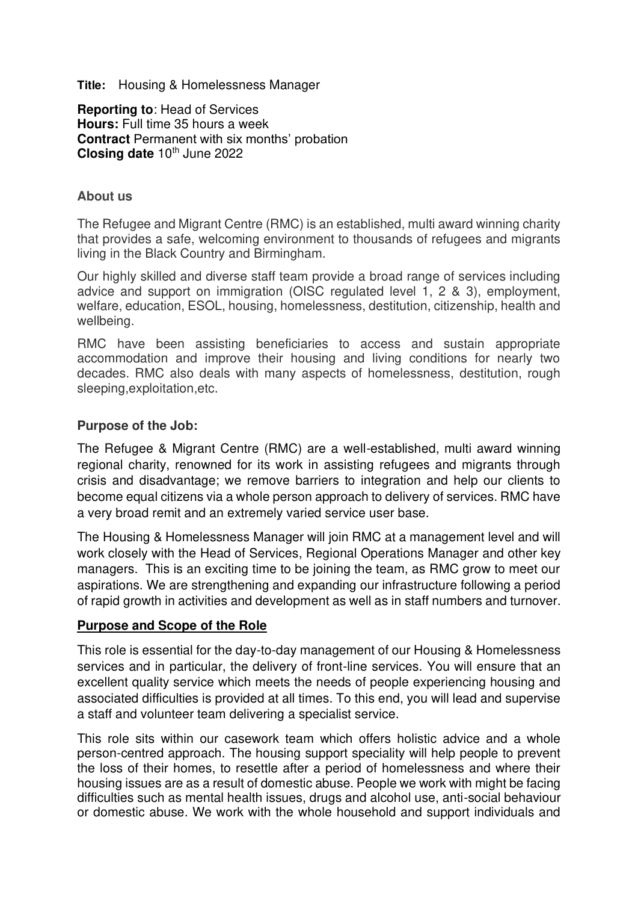**Title:** Housing & Homelessness Manager

**Reporting to**: Head of Services **Hours:** Full time 35 hours a week **Contract** Permanent with six months' probation **Closing date 10th June 2022** 

#### **About us**

The Refugee and Migrant Centre (RMC) is an established, multi award winning charity that provides a safe, welcoming environment to thousands of refugees and migrants living in the Black Country and Birmingham.

Our highly skilled and diverse staff team provide a broad range of services including advice and support on immigration (OISC regulated level 1, 2 & 3), employment, welfare, education, ESOL, housing, homelessness, destitution, citizenship, health and wellbeing.

RMC have been assisting beneficiaries to access and sustain appropriate accommodation and improve their housing and living conditions for nearly two decades. RMC also deals with many aspects of homelessness, destitution, rough sleeping,exploitation,etc.

#### **Purpose of the Job:**

The Refugee & Migrant Centre (RMC) are a well-established, multi award winning regional charity, renowned for its work in assisting refugees and migrants through crisis and disadvantage; we remove barriers to integration and help our clients to become equal citizens via a whole person approach to delivery of services. RMC have a very broad remit and an extremely varied service user base.

The Housing & Homelessness Manager will join RMC at a management level and will work closely with the Head of Services, Regional Operations Manager and other key managers. This is an exciting time to be joining the team, as RMC grow to meet our aspirations. We are strengthening and expanding our infrastructure following a period of rapid growth in activities and development as well as in staff numbers and turnover.

#### **Purpose and Scope of the Role**

This role is essential for the day-to-day management of our Housing & Homelessness services and in particular, the delivery of front-line services. You will ensure that an excellent quality service which meets the needs of people experiencing housing and associated difficulties is provided at all times. To this end, you will lead and supervise a staff and volunteer team delivering a specialist service.

This role sits within our casework team which offers holistic advice and a whole person-centred approach. The housing support speciality will help people to prevent the loss of their homes, to resettle after a period of homelessness and where their housing issues are as a result of domestic abuse. People we work with might be facing difficulties such as mental health issues, drugs and alcohol use, anti-social behaviour or domestic abuse. We work with the whole household and support individuals and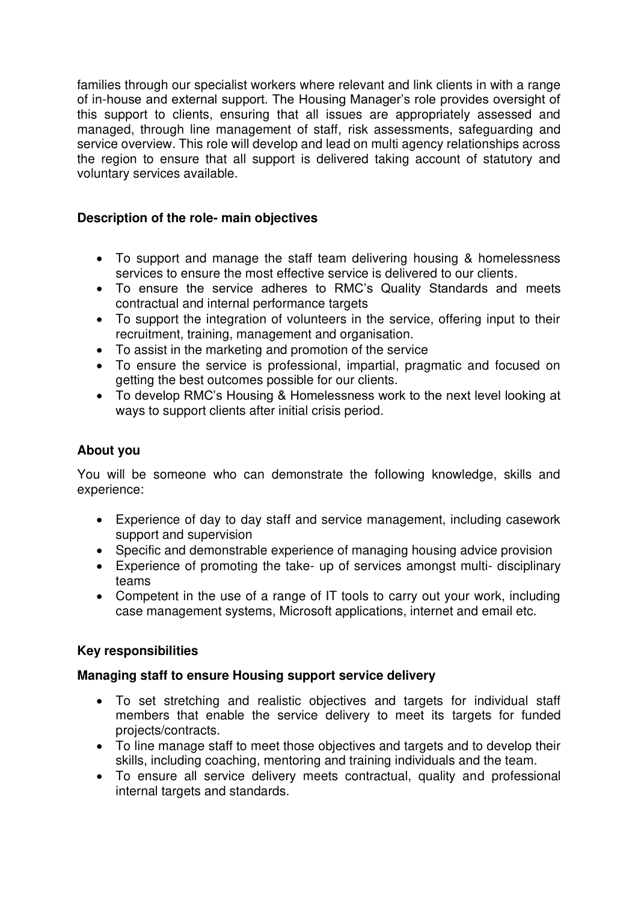families through our specialist workers where relevant and link clients in with a range of in-house and external support. The Housing Manager's role provides oversight of this support to clients, ensuring that all issues are appropriately assessed and managed, through line management of staff, risk assessments, safeguarding and service overview. This role will develop and lead on multi agency relationships across the region to ensure that all support is delivered taking account of statutory and voluntary services available.

# **Description of the role- main objectives**

- To support and manage the staff team delivering housing & homelessness services to ensure the most effective service is delivered to our clients.
- To ensure the service adheres to RMC's Quality Standards and meets contractual and internal performance targets
- To support the integration of volunteers in the service, offering input to their recruitment, training, management and organisation.
- To assist in the marketing and promotion of the service
- To ensure the service is professional, impartial, pragmatic and focused on getting the best outcomes possible for our clients.
- To develop RMC's Housing & Homelessness work to the next level looking at ways to support clients after initial crisis period.

## **About you**

You will be someone who can demonstrate the following knowledge, skills and experience:

- Experience of day to day staff and service management, including casework support and supervision
- Specific and demonstrable experience of managing housing advice provision
- Experience of promoting the take- up of services amongst multi- disciplinary teams
- Competent in the use of a range of IT tools to carry out your work, including case management systems, Microsoft applications, internet and email etc.

## **Key responsibilities**

## **Managing staff to ensure Housing support service delivery**

- To set stretching and realistic objectives and targets for individual staff members that enable the service delivery to meet its targets for funded projects/contracts.
- To line manage staff to meet those objectives and targets and to develop their skills, including coaching, mentoring and training individuals and the team.
- To ensure all service delivery meets contractual, quality and professional internal targets and standards.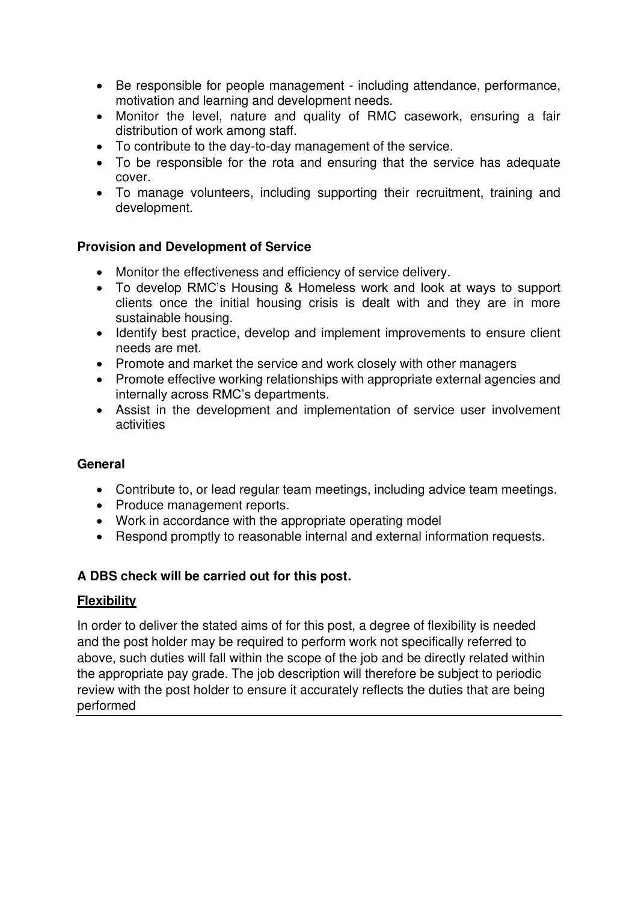- Be responsible for people management including attendance, performance, motivation and learning and development needs.
- Monitor the level, nature and quality of RMC casework, ensuring a fair distribution of work among staff.
- To contribute to the day-to-day management of the service.
- To be responsible for the rota and ensuring that the service has adequate cover.
- To manage volunteers, including supporting their recruitment, training and development.

# **Provision and Development of Service**

- Monitor the effectiveness and efficiency of service delivery.
- To develop RMC's Housing & Homeless work and look at ways to support clients once the initial housing crisis is dealt with and they are in more sustainable housing.
- Identify best practice, develop and implement improvements to ensure client needs are met.
- Promote and market the service and work closely with other managers
- Promote effective working relationships with appropriate external agencies and internally across RMC's departments.
- Assist in the development and implementation of service user involvement activities

## **General**

- Contribute to, or lead regular team meetings, including advice team meetings.
- Produce management reports.
- Work in accordance with the appropriate operating model
- Respond promptly to reasonable internal and external information requests.

## **A DBS check will be carried out for this post.**

## **Flexibility**

In order to deliver the stated aims of for this post, a degree of flexibility is needed and the post holder may be required to perform work not specifically referred to above, such duties will fall within the scope of the job and be directly related within the appropriate pay grade. The job description will therefore be subject to periodic review with the post holder to ensure it accurately reflects the duties that are being performed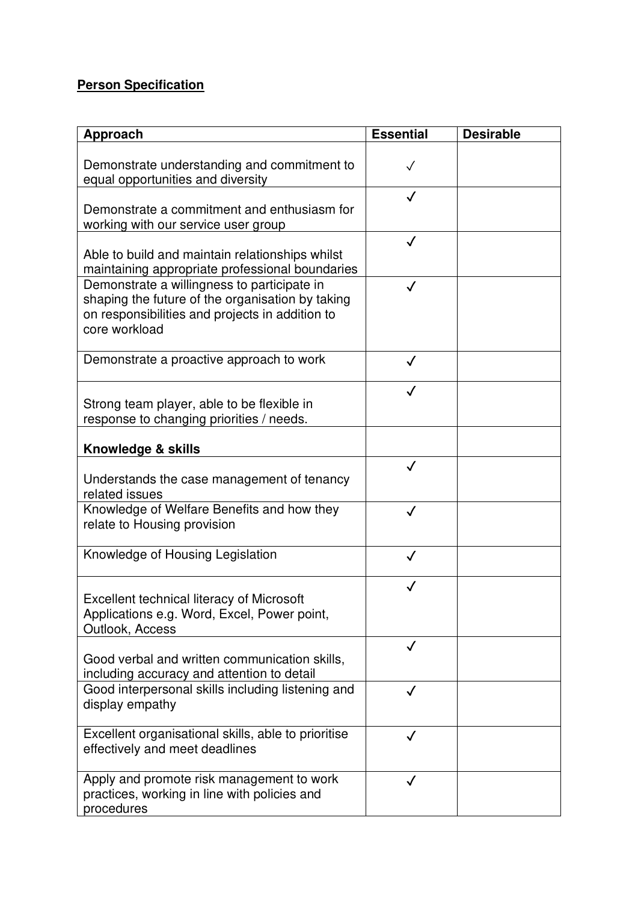# **Person Specification**

| Approach                                                                                                                                                            | <b>Essential</b> | <b>Desirable</b> |
|---------------------------------------------------------------------------------------------------------------------------------------------------------------------|------------------|------------------|
| Demonstrate understanding and commitment to<br>equal opportunities and diversity                                                                                    | $\checkmark$     |                  |
| Demonstrate a commitment and enthusiasm for<br>working with our service user group                                                                                  |                  |                  |
| Able to build and maintain relationships whilst<br>maintaining appropriate professional boundaries                                                                  | $\checkmark$     |                  |
| Demonstrate a willingness to participate in<br>shaping the future of the organisation by taking<br>on responsibilities and projects in addition to<br>core workload | $\checkmark$     |                  |
| Demonstrate a proactive approach to work                                                                                                                            | $\checkmark$     |                  |
| Strong team player, able to be flexible in<br>response to changing priorities / needs.                                                                              | $\checkmark$     |                  |
| Knowledge & skills                                                                                                                                                  |                  |                  |
| Understands the case management of tenancy<br>related issues                                                                                                        | $\checkmark$     |                  |
| Knowledge of Welfare Benefits and how they<br>relate to Housing provision                                                                                           | $\checkmark$     |                  |
| Knowledge of Housing Legislation                                                                                                                                    | $\checkmark$     |                  |
| <b>Excellent technical literacy of Microsoft</b><br>Applications e.g. Word, Excel, Power point,<br>Outlook, Access                                                  |                  |                  |
| Good verbal and written communication skills,<br>including accuracy and attention to detail                                                                         | $\checkmark$     |                  |
| Good interpersonal skills including listening and<br>display empathy                                                                                                | J                |                  |
| Excellent organisational skills, able to prioritise<br>effectively and meet deadlines                                                                               | $\checkmark$     |                  |
| Apply and promote risk management to work<br>practices, working in line with policies and<br>procedures                                                             |                  |                  |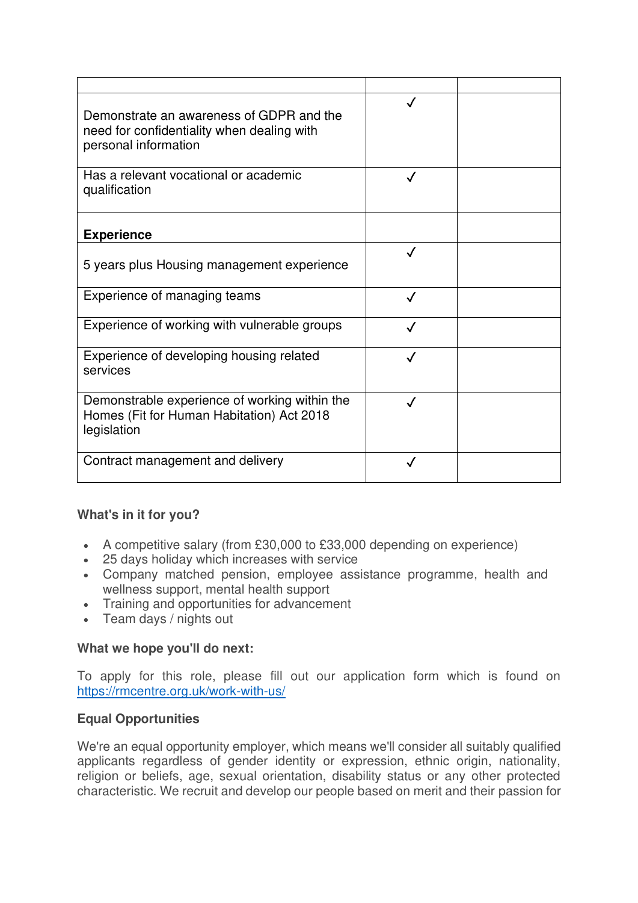| Demonstrate an awareness of GDPR and the<br>need for confidentiality when dealing with<br>personal information |              |  |
|----------------------------------------------------------------------------------------------------------------|--------------|--|
| Has a relevant vocational or academic<br>qualification                                                         | $\checkmark$ |  |
| <b>Experience</b>                                                                                              |              |  |
| 5 years plus Housing management experience                                                                     |              |  |
| Experience of managing teams                                                                                   | $\checkmark$ |  |
| Experience of working with vulnerable groups                                                                   | $\checkmark$ |  |
| Experience of developing housing related<br>services                                                           | $\checkmark$ |  |
| Demonstrable experience of working within the<br>Homes (Fit for Human Habitation) Act 2018<br>legislation      | $\checkmark$ |  |
| Contract management and delivery                                                                               |              |  |

## **What's in it for you?**

- A competitive salary (from £30,000 to £33,000 depending on experience)
- 25 days holiday which increases with service
- Company matched pension, employee assistance programme, health and wellness support, mental health support
- Training and opportunities for advancement
- Team days / nights out

#### **What we hope you'll do next:**

To apply for this role, please fill out our application form which is found on <https://rmcentre.org.uk/work-with-us/>

## **Equal Opportunities**

We're an equal opportunity employer, which means we'll consider all suitably qualified applicants regardless of gender identity or expression, ethnic origin, nationality, religion or beliefs, age, sexual orientation, disability status or any other protected characteristic. We recruit and develop our people based on merit and their passion for